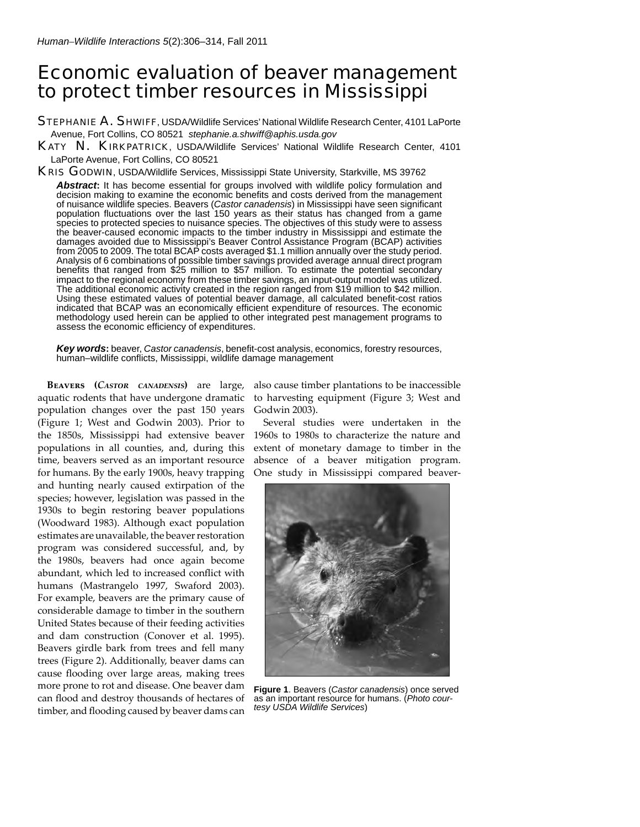# Economic evaluation of beaver management to protect timber resources in Mississippi

STEPHANIE A. SHWIFF, USDA/Wildlife Services' National Wildlife Research Center, 4101 LaPorte Avenue, Fort Collins, CO 80521 *stephanie.a.shwiff@aphis.usda.gov*

KATY N. KIRKPATRICK, USDA/Wildlife Services' National Wildlife Research Center, 4101 LaPorte Avenue, Fort Collins, CO 80521

KRIS GODWIN, USDA/Wildlife Services, Mississippi State University, Starkville, MS 39762

Abstract: It has become essential for groups involved with wildlife policy formulation and decision making to examine the economic benefits and costs derived from the management of nuisance wildlife species. Beavers (*Castor canadensis*) in Mississippi have seen significant population fluctuations over the last 150 years as their status has changed from a game species to protected species to nuisance species. The objectives of this study were to assess the beaver-caused economic impacts to the timber industry in Mississippi and estimate the damages avoided due to Mississippi's Beaver Control Assistance Program (BCAP) activities from 2005 to 2009. The total BCAP costs averaged \$1.1 million annually over the study period. Analysis of 6 combinations of possible timber savings provided average annual direct program benefits that ranged from \$25 million to \$57 million. To estimate the potential secondary impact to the regional economy from these timber savings, an input-output model was utilized. The additional economic activity created in the region ranged from \$19 million to \$42 million. Using these estimated values of potential beaver damage, all calculated benefit-cost ratios indicated that BCAP was an economically efficient expenditure of resources. The economic methodology used herein can be applied to other integrated pest management programs to assess the economic efficiency of expenditures.

Key words: beaver, *Castor canadensis*, benefit-cost analysis, economics, forestry resources, human–wildlife conflicts, Mississippi, wildlife damage management

**Beavers (***Castor canadensis***)** are large, aquatic rodents that have undergone dramatic population changes over the past 150 years (Figure 1; West and Godwin 2003). Prior to the 1850s, Mississippi had extensive beaver populations in all counties, and, during this time, beavers served as an important resource for humans. By the early 1900s, heavy trapping and hunting nearly caused extirpation of the species; however, legislation was passed in the 1930s to begin restoring beaver populations (Woodward 1983). Although exact population estimates are unavailable, the beaver restoration program was considered successful, and, by the 1980s, beavers had once again become abundant, which led to increased conflict with humans (Mastrangelo 1997, Swaford 2003). For example, beavers are the primary cause of considerable damage to timber in the southern United States because of their feeding activities and dam construction (Conover et al. 1995). Beavers girdle bark from trees and fell many trees (Figure 2). Additionally, beaver dams can cause flooding over large areas, making trees more prone to rot and disease. One beaver dam can flood and destroy thousands of hectares of timber, and flooding caused by beaver dams can

also cause timber plantations to be inaccessible to harvesting equipment (Figure 3; West and Godwin 2003).

Several studies were undertaken in the 1960s to 1980s to characterize the nature and extent of monetary damage to timber in the absence of a beaver mitigation program. One study in Mississippi compared beaver-



**Figure 1**. Beavers (*Castor canadensis*) once served as an important resource for humans. (*Photo courtesy USDA Wildlife Services*)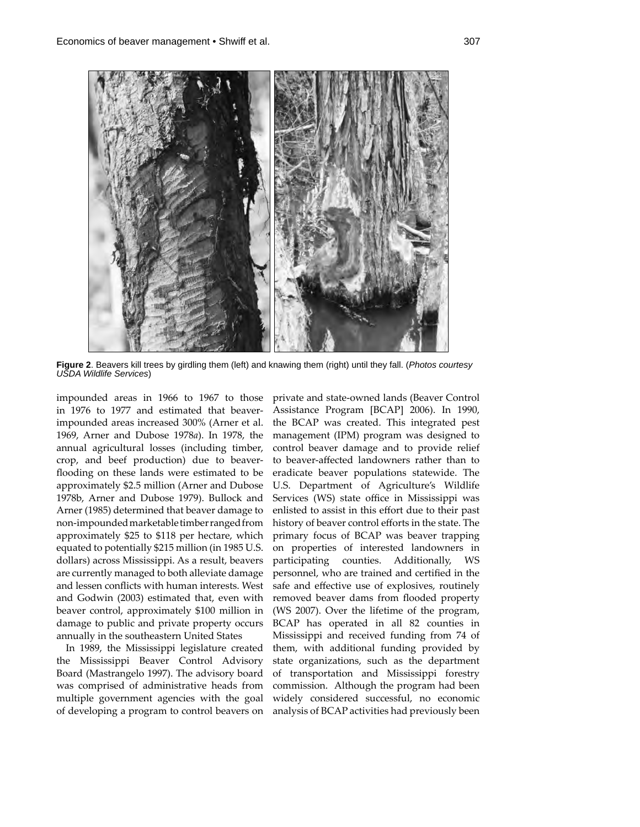

**Figure 2**. Beavers kill trees by girdling them (left) and knawing them (right) until they fall. (*Photos courtesy USDA Wildlife Services*)

impounded areas in 1966 to 1967 to those in 1976 to 1977 and estimated that beaverimpounded areas increased 300% (Arner et al. 1969, Arner and Dubose 1978*a*). In 1978, the annual agricultural losses (including timber, crop, and beef production) due to beaverflooding on these lands were estimated to be approximately \$2.5 million (Arner and Dubose 1978b, Arner and Dubose 1979). Bullock and Arner (1985) determined that beaver damage to non-impounded marketable timber ranged from approximately \$25 to \$118 per hectare, which equated to potentially \$215 million (in 1985 U.S. dollars) across Mississippi. As a result, beavers are currently managed to both alleviate damage and lessen conflicts with human interests. West and Godwin (2003) estimated that, even with beaver control, approximately \$100 million in damage to public and private property occurs annually in the southeastern United States

In 1989, the Mississippi legislature created the Mississippi Beaver Control Advisory Board (Mastrangelo 1997). The advisory board was comprised of administrative heads from multiple government agencies with the goal of developing a program to control beavers on

private and state-owned lands (Beaver Control Assistance Program [BCAP] 2006). In 1990, the BCAP was created. This integrated pest management (IPM) program was designed to control beaver damage and to provide relief to beaver-affected landowners rather than to eradicate beaver populations statewide. The U.S. Department of Agriculture's Wildlife Services (WS) state office in Mississippi was enlisted to assist in this effort due to their past history of beaver control efforts in the state. The primary focus of BCAP was beaver trapping on properties of interested landowners in participating counties. Additionally, WS personnel, who are trained and certified in the safe and effective use of explosives, routinely removed beaver dams from flooded property (WS 2007). Over the lifetime of the program, BCAP has operated in all 82 counties in Mississippi and received funding from 74 of them, with additional funding provided by state organizations, such as the department of transportation and Mississippi forestry commission. Although the program had been widely considered successful, no economic analysis of BCAP activities had previously been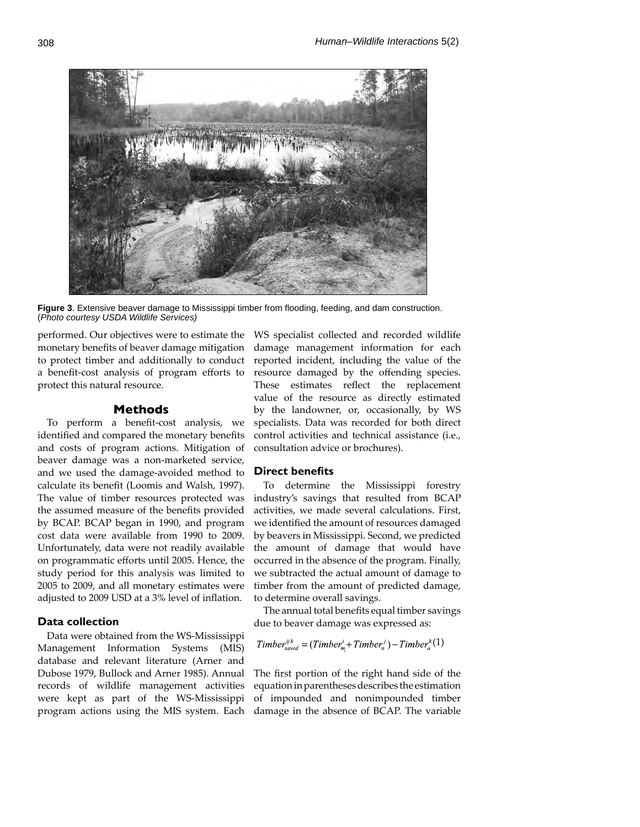

Figure 3. Extensive beaver damage to Mississippi timber from flooding, feeding, and dam construction. (*Photo courtesy USDA Wildlife Services)*

performed. Our objectives were to estimate the monetary benefits of beaver damage mitigation to protect timber and additionally to conduct a benefit-cost analysis of program efforts to protect this natural resource.

# **Methods**

To perform a benefit-cost analysis, we identified and compared the monetary benefits and costs of program actions. Mitigation of beaver damage was a non-marketed service, and we used the damage-avoided method to calculate its benefit (Loomis and Walsh, 1997). The value of timber resources protected was the assumed measure of the benefits provided by BCAP. BCAP began in 1990, and program cost data were available from 1990 to 2009. Unfortunately, data were not readily available on programmatic efforts until 2005. Hence, the study period for this analysis was limited to 2005 to 2009, and all monetary estimates were adjusted to 2009 USD at a 3% level of inflation.

## **Data collection**

Data were obtained from the WS-Mississippi Management Information Systems (MIS) database and relevant literature (Arner and Dubose 1979, Bullock and Arner 1985). Annual records of wildlife management activities were kept as part of the WS-Mississippi program actions using the MIS system. Each

WS specialist collected and recorded wildlife damage management information for each reported incident, including the value of the resource damaged by the offending species. These estimates reflect the replacement value of the resource as directly estimated by the landowner, or, occasionally, by WS specialists. Data was recorded for both direct control activities and technical assistance (i.e., consultation advice or brochures).

# **Direct benefits**

To determine the Mississippi forestry industry's savings that resulted from BCAP activities, we made several calculations. First, we identified the amount of resources damaged by beavers in Mississippi. Second, we predicted the amount of damage that would have occurred in the absence of the program. Finally, we subtracted the actual amount of damage to timber from the amount of predicted damage, to determine overall savings.

The annual total benefits equal timber savings due to beaver damage was expressed as:

$$
Time_{\text{speed}}^{ijk} = (Time_{m}^{i} + Time_{n}^{j}) - Time_{a}^{k}(1)
$$

The first portion of the right hand side of the equation in parentheses describes the estimation of impounded and nonimpounded timber damage in the absence of BCAP. The variable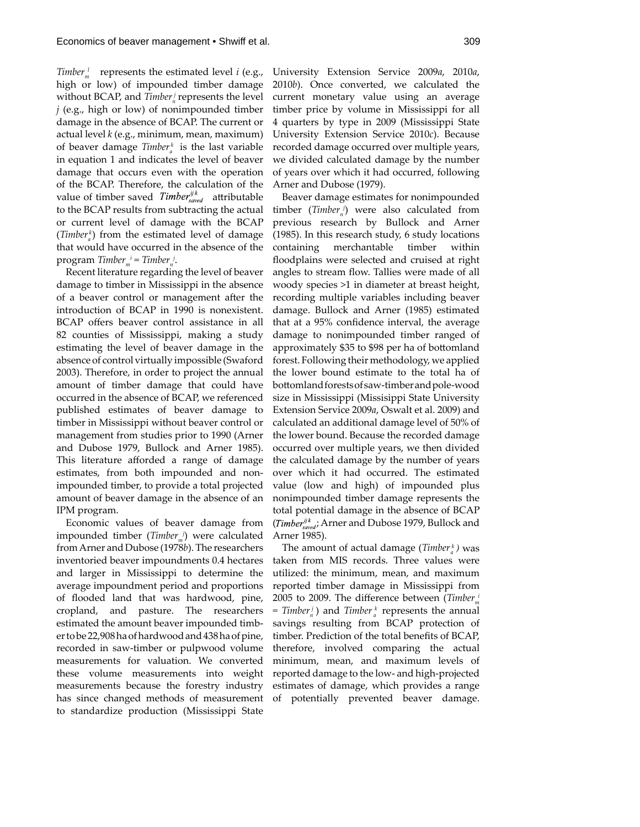*Timber*<sup> $l$ </sup> represents the estimated level *i* (e.g., high or low) of impounded timber damage without BCAP, and *Timber*<sup>*j*</sup> represents the level *j* (e.g., high or low) of nonimpounded timber damage in the absence of BCAP. The current or actual level *k* (e.g., minimum, mean, maximum) of beaver damage *Timber*<sup>k</sup> is the last variable in equation 1 and indicates the level of beaver damage that occurs even with the operation of the BCAP. Therefore, the calculation of the value of timber saved  $Time_{saved}$  attributable to the BCAP results from subtracting the actual or current level of damage with the BCAP (*Timber*<sub>*a*</sub></sub>) from the estimated level of damage that would have occurred in the absence of the  $program$  *Timber*<sub>*m*</sub><sup> $i$ </sup> = *Timber*<sub>*n*</sub><sup> $j$ </sup>.

Recent literature regarding the level of beaver damage to timber in Mississippi in the absence of a beaver control or management after the introduction of BCAP in 1990 is nonexistent. BCAP offers beaver control assistance in all 82 counties of Mississippi, making a study estimating the level of beaver damage in the absence of control virtually impossible (Swaford 2003). Therefore, in order to project the annual amount of timber damage that could have occurred in the absence of BCAP, we referenced published estimates of beaver damage to timber in Mississippi without beaver control or management from studies prior to 1990 (Arner and Dubose 1979, Bullock and Arner 1985). This literature afforded a range of damage estimates, from both impounded and nonimpounded timber, to provide a total projected amount of beaver damage in the absence of an IPM program.

Economic values of beaver damage from impounded timber (*Timber<sub>m</sub>i*) were calculated from Arner and Dubose (1978*b*). The researchers inventoried beaver impoundments 0.4 hectares and larger in Mississippi to determine the average impoundment period and proportions of flooded land that was hardwood, pine, cropland, and pasture. The researchers estimated the amount beaver impounded timber to be 22,908 ha of hardwood and 438 ha of pine, recorded in saw-timber or pulpwood volume measurements for valuation. We converted these volume measurements into weight measurements because the forestry industry has since changed methods of measurement to standardize production (Mississippi State

University Extension Service 2009*a*, 2010*a*, 2010*b*). Once converted, we calculated the current monetary value using an average timber price by volume in Mississippi for all 4 quarters by type in 2009 (Mississippi State University Extension Service 2010*c*). Because recorded damage occurred over multiple years, we divided calculated damage by the number of years over which it had occurred, following Arner and Dubose (1979).

Beaver damage estimates for nonimpounded  $t$  *timber*<sub>*n*</sub> $)$ </sub> were also calculated from previous research by Bullock and Arner (1985). In this research study, 6 study locations containing merchantable timber within floodplains were selected and cruised at right angles to stream flow. Tallies were made of all woody species >1 in diameter at breast height, recording multiple variables including beaver damage. Bullock and Arner (1985) estimated that at a 95% confidence interval, the average damage to nonimpounded timber ranged of approximately \$35 to \$98 per ha of bottomland forest. Following their methodology, we applied the lower bound estimate to the total ha of bottomland forests of saw-timber and pole-wood size in Mississippi (Missisippi State University Extension Service 2009*a*, Oswalt et al. 2009) and calculated an additional damage level of 50% of the lower bound. Because the recorded damage occurred over multiple years, we then divided the calculated damage by the number of years over which it had occurred. The estimated value (low and high) of impounded plus nonimpounded timber damage represents the total potential damage in the absence of BCAP (*Timber*<sup>ijk</sup>, Arner and Dubose 1979, Bullock and Arner 1985).

The amount of actual damage (*Timber a k )* was taken from MIS records. Three values were utilized: the minimum, mean, and maximum reported timber damage in Mississippi from 2005 to 2009. The difference between (*Timber*<sub>m</sub>  $=$  *Timber*<sup> $i$ </sup><sub>*l*</sub> *n Timber*<sup> $k$ </sup><sub>*a*</sub> *represents the annual* savings resulting from BCAP protection of timber. Prediction of the total benefits of BCAP, therefore, involved comparing the actual minimum, mean, and maximum levels of reported damage to the low- and high-projected estimates of damage, which provides a range of potentially prevented beaver damage.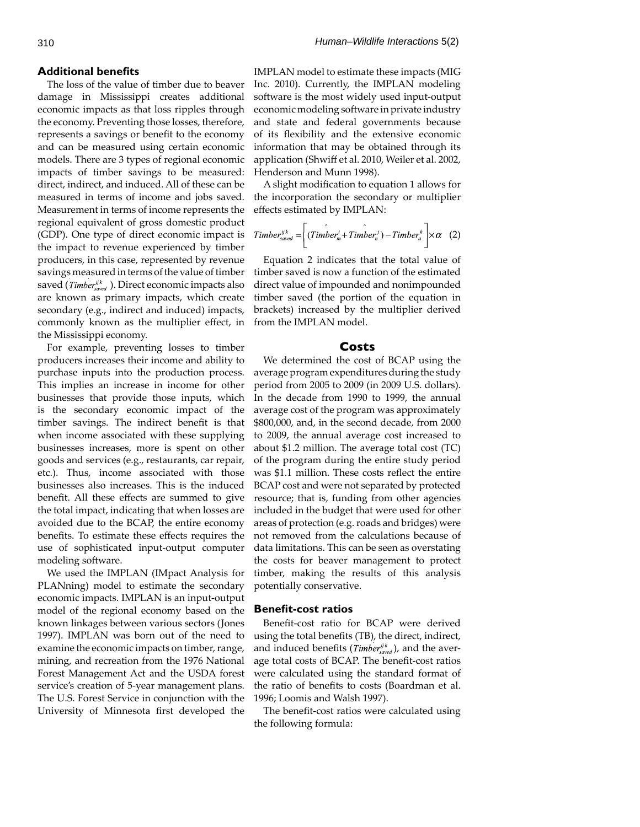## **Additional benefits**

The loss of the value of timber due to beaver damage in Mississippi creates additional economic impacts as that loss ripples through the economy. Preventing those losses, therefore, represents a savings or benefit to the economy and can be measured using certain economic models. There are 3 types of regional economic impacts of timber savings to be measured: direct, indirect, and induced. All of these can be measured in terms of income and jobs saved. Measurement in terms of income represents the regional equivalent of gross domestic product (GDP). One type of direct economic impact is 7 the impact to revenue experienced by timber producers, in this case, represented by revenue savings measured in terms of the value of timber saved (*Timber*<sup>ijk</sup>, ). Direct economic impacts also are known as primary impacts, which create secondary (e.g., indirect and induced) impacts, commonly known as the multiplier effect, in the Mississippi economy.

For example, preventing losses to timber producers increases their income and ability to purchase inputs into the production process. This implies an increase in income for other businesses that provide those inputs, which is the secondary economic impact of the timber savings. The indirect benefit is that when income associated with these supplying businesses increases, more is spent on other goods and services (e.g., restaurants, car repair, etc.). Thus, income associated with those businesses also increases. This is the induced benefit. All these effects are summed to give the total impact, indicating that when losses are avoided due to the BCAP, the entire economy benefits. To estimate these effects requires the use of sophisticated input-output computer modeling software.

We used the IMPLAN (IMpact Analysis for PLANning) model to estimate the secondary economic impacts. IMPLAN is an input-output model of the regional economy based on the known linkages between various sectors (Jones 1997). IMPLAN was born out of the need to examine the economic impacts on timber, range, mining, and recreation from the 1976 National Forest Management Act and the USDA forest service's creation of 5-year management plans. The U.S. Forest Service in conjunction with the University of Minnesota first developed the

IMPLAN model to estimate these impacts (MIG Inc. 2010). Currently, the IMPLAN modeling software is the most widely used input-output economic modeling software in private industry and state and federal governments because of its flexibility and the extensive economic information that may be obtained through its application (Shwiff et al. 2010, Weiler et al. 2002, Henderson and Munn 1998).

A slight modification to equation 1 allows for the incorporation the secondary or multiplier effects estimated by IMPLAN:

$$
Time_{saved} = \left( Time_{m} + Time_{m} \right) - Time_{a} \times \alpha \quad (2)
$$

Equation 2 indicates that the total value of timber saved is now a function of the estimated direct value of impounded and nonimpounded timber saved (the portion of the equation in brackets) increased by the multiplier derived from the IMPLAN model.

#### **Costs**

We determined the cost of BCAP using the average program expenditures during the study period from 2005 to 2009 (in 2009 U.S. dollars). In the decade from 1990 to 1999, the annual average cost of the program was approximately \$800,000, and, in the second decade, from 2000 to 2009, the annual average cost increased to about \$1.2 million. The average total cost (TC) of the program during the entire study period was \$1.1 million. These costs reflect the entire BCAP cost and were not separated by protected resource; that is, funding from other agencies included in the budget that were used for other areas of protection (e.g. roads and bridges) were not removed from the calculations because of data limitations. This can be seen as overstating the costs for beaver management to protect timber, making the results of this analysis potentially conservative.

#### **Benefit-cost ratios**

Benefit-cost ratio for BCAP were derived using the total benefits (TB), the direct, indirect, and induced benefits (*Timber*<sup>ijk</sup>, and the average total costs of BCAP. The benefit-cost ratios were calculated using the standard format of the ratio of benefits to costs (Boardman et al. 1996; Loomis and Walsh 1997).

The benefit-cost ratios were calculated using the following formula: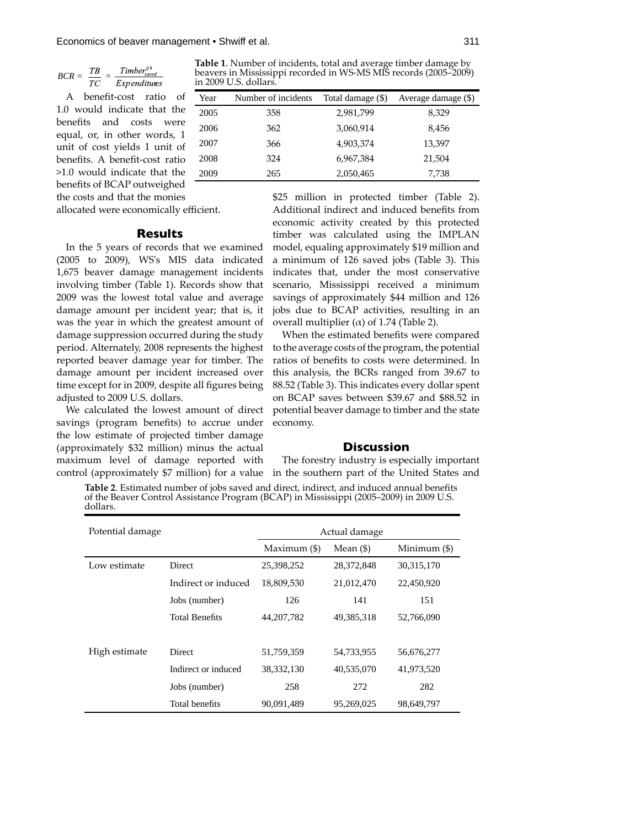$$
BCR = \frac{TB}{TC} = \frac{Timber_{saved}^{ijk}}{Expenditures}
$$

A benefit-cost ratio of 1.0 would indicate that the benefits and costs were equal, or, in other words, 1 unit of cost yields 1 unit of benefits. A benefit-cost ratio >1.0 would indicate that the benefits of BCAP outweighed the costs and that the monies

allocated were economically efficient.

# **Results**

In the 5 years of records that we examined (2005 to 2009), WS's MIS data indicated 1,675 beaver damage management incidents involving timber (Table 1). Records show that 2009 was the lowest total value and average damage amount per incident year; that is, it was the year in which the greatest amount of damage suppression occurred during the study period. Alternately, 2008 represents the highest reported beaver damage year for timber. The damage amount per incident increased over time except for in 2009, despite all figures being adjusted to 2009 U.S. dollars.

We calculated the lowest amount of direct savings (program benefits) to accrue under the low estimate of projected timber damage (approximately \$32 million) minus the actual maximum level of damage reported with control (approximately \$7 million) for a value

**Table 1**. Number of incidents, total and average timber damage by beavers in Mississippi recorded in WS-MS MIS records (2005–2009) in 2009 U.S. dollars.

| Year | Number of incidents | Total damage (\$) | Average damage (\$) |
|------|---------------------|-------------------|---------------------|
| 2005 | 358                 | 2,981,799         | 8,329               |
| 2006 | 362                 | 3,060,914         | 8,456               |
| 2007 | 366                 | 4,903,374         | 13,397              |
| 2008 | 324                 | 6,967,384         | 21,504              |
| 2009 | 265                 | 2,050,465         | 7,738               |

\$25 million in protected timber (Table 2). Additional indirect and induced benefits from economic activity created by this protected timber was calculated using the IMPLAN model, equaling approximately \$19 million and a minimum of 126 saved jobs (Table 3). This indicates that, under the most conservative scenario, Mississippi received a minimum savings of approximately \$44 million and 126 jobs due to BCAP activities, resulting in an overall multiplier ( $α$ ) of 1.74 (Table 2).

When the estimated benefits were compared to the average costs of the program, the potential ratios of benefits to costs were determined. In this analysis, the BCRs ranged from 39.67 to 88.52 (Table 3). This indicates every dollar spent on BCAP saves between \$39.67 and \$88.52 in potential beaver damage to timber and the state economy.

## **Discussion**

The forestry industry is especially important in the southern part of the United States and

Table 2. Estimated number of jobs saved and direct, indirect, and induced annual benefits of the Beaver Control Assistance Program (BCAP) in Mississippi (2005–2009) in 2009 U.S. dollars.

| Potential damage |                       | Actual damage  |            |                |
|------------------|-----------------------|----------------|------------|----------------|
|                  |                       | Maximum $(\$)$ | Mean $($   | Minimum $(\$)$ |
| Low estimate     | Direct                | 25,398,252     | 28,372,848 | 30, 315, 170   |
|                  | Indirect or induced   | 18,809,530     | 21,012,470 | 22,450,920     |
|                  | Jobs (number)         | 126            | 141        | 151            |
|                  | <b>Total Benefits</b> | 44, 207, 782   | 49,385,318 | 52,766,090     |
|                  |                       |                |            |                |
| High estimate    | Direct                | 51,759,359     | 54,733,955 | 56,676,277     |
|                  | Indirect or induced   | 38, 332, 130   | 40,535,070 | 41,973,520     |
|                  | Jobs (number)         | 258            | 272        | 282            |
|                  | Total benefits        | 90,091,489     | 95,269,025 | 98,649,797     |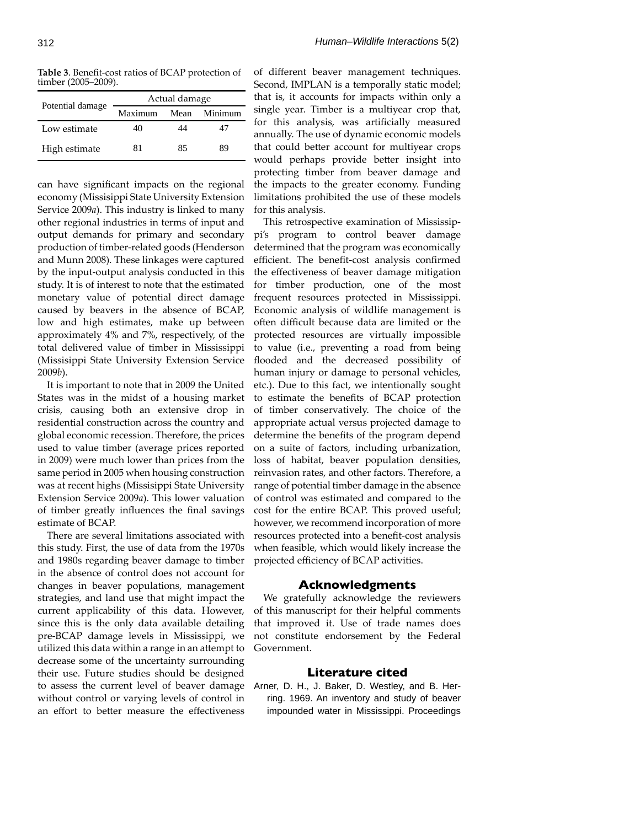Table 3. Benefit-cost ratios of BCAP protection of timber (2005–2009).

| Potential damage | Actual damage |      |         |  |
|------------------|---------------|------|---------|--|
|                  | Maximum       | Mean | Minimum |  |
| Low estimate     | 40            | 44   | 47      |  |
| High estimate    | 81            | 85   | 89      |  |

can have significant impacts on the regional economy (Missisippi State University Extension Service 2009*a*). This industry is linked to many other regional industries in terms of input and output demands for primary and secondary production of timber-related goods (Henderson and Munn 2008). These linkages were captured by the input-output analysis conducted in this study. It is of interest to note that the estimated monetary value of potential direct damage caused by beavers in the absence of BCAP, low and high estimates, make up between approximately 4% and 7%, respectively, of the total delivered value of timber in Mississippi (Missisippi State University Extension Service 2009*b*).

It is important to note that in 2009 the United States was in the midst of a housing market crisis, causing both an extensive drop in residential construction across the country and global economic recession. Therefore, the prices used to value timber (average prices reported in 2009) were much lower than prices from the same period in 2005 when housing construction was at recent highs (Missisippi State University Extension Service 2009*a*). This lower valuation of timber greatly influences the final savings estimate of BCAP.

There are several limitations associated with this study. First, the use of data from the 1970s and 1980s regarding beaver damage to timber in the absence of control does not account for changes in beaver populations, management strategies, and land use that might impact the current applicability of this data. However, since this is the only data available detailing pre-BCAP damage levels in Mississippi, we utilized this data within a range in an attempt to decrease some of the uncertainty surrounding their use. Future studies should be designed to assess the current level of beaver damage without control or varying levels of control in an effort to better measure the effectiveness

of different beaver management techniques. Second, IMPLAN is a temporally static model; that is, it accounts for impacts within only a single year. Timber is a multiyear crop that, for this analysis, was artificially measured annually. The use of dynamic economic models that could better account for multiyear crops would perhaps provide better insight into protecting timber from beaver damage and the impacts to the greater economy. Funding limitations prohibited the use of these models for this analysis.

This retrospective examination of Mississippi's program to control beaver damage determined that the program was economically efficient. The benefit-cost analysis confirmed the effectiveness of beaver damage mitigation for timber production, one of the most frequent resources protected in Mississippi. Economic analysis of wildlife management is often difficult because data are limited or the protected resources are virtually impossible to value (i.e., preventing a road from being flooded and the decreased possibility of human injury or damage to personal vehicles, etc.). Due to this fact, we intentionally sought to estimate the benefits of BCAP protection of timber conservatively. The choice of the appropriate actual versus projected damage to determine the benefits of the program depend on a suite of factors, including urbanization, loss of habitat, beaver population densities, reinvasion rates, and other factors. Therefore, a range of potential timber damage in the absence of control was estimated and compared to the cost for the entire BCAP. This proved useful; however, we recommend incorporation of more resources protected into a benefit-cost analysis when feasible, which would likely increase the projected efficiency of BCAP activities.

# **Acknowledgments**

We gratefully acknowledge the reviewers of this manuscript for their helpful comments that improved it. Use of trade names does not constitute endorsement by the Federal Government.

## **Literature cited**

Arner, D. H., J. Baker, D. Westley, and B. Herring. 1969. An inventory and study of beaver impounded water in Mississippi. Proceedings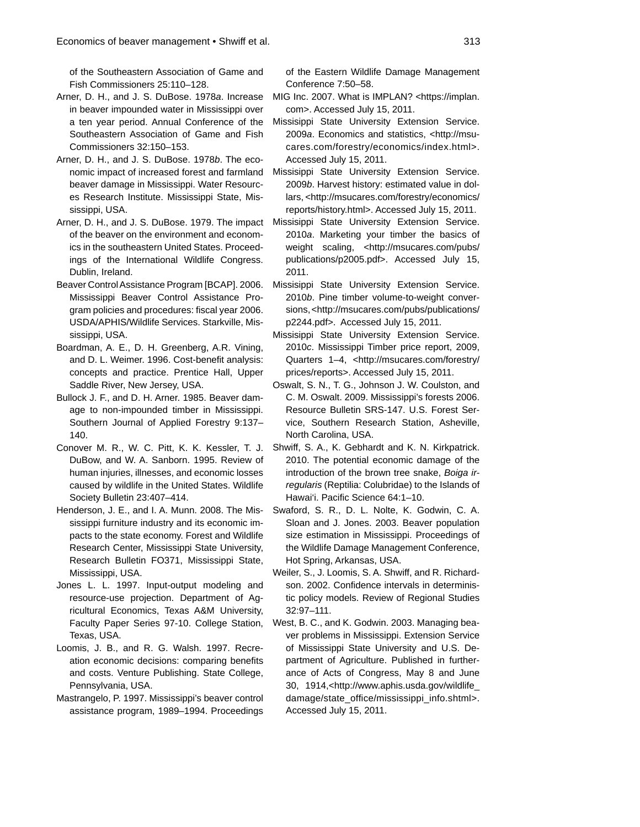of the Southeastern Association of Game and Fish Commissioners 25:110–128.

- Arner, D. H., and J. S. DuBose. 1978*a*. Increase in beaver impounded water in Mississippi over a ten year period. Annual Conference of the Southeastern Association of Game and Fish Commissioners 32:150–153.
- Arner, D. H., and J. S. DuBose. 1978*b*. The economic impact of increased forest and farmland beaver damage in Mississippi. Water Resources Research Institute. Mississippi State, Mississippi, USA.
- Arner, D. H., and J. S. DuBose. 1979. The impact of the beaver on the environment and economics in the southeastern United States. Proceedings of the International Wildlife Congress. Dublin, Ireland.
- Beaver Control Assistance Program [BCAP]. 2006. Mississippi Beaver Control Assistance Program policies and procedures: fiscal year 2006. USDA/APHIS/Wildlife Services. Starkville, Mississippi, USA.
- Boardman, A. E., D. H. Greenberg, A.R. Vining, and D. L. Weimer. 1996. Cost-benefit analysis: concepts and practice. Prentice Hall, Upper Saddle River, New Jersey, USA.
- Bullock J. F., and D. H. Arner. 1985. Beaver damage to non-impounded timber in Mississippi. Southern Journal of Applied Forestry 9:137– 140.
- Conover M. R., W. C. Pitt, K. K. Kessler, T. J. DuBow, and W. A. Sanborn. 1995. Review of human injuries, illnesses, and economic losses caused by wildlife in the United States. Wildlife Society Bulletin 23:407–414.
- Henderson, J. E., and I. A. Munn. 2008. The Mississippi furniture industry and its economic impacts to the state economy. Forest and Wildlife Research Center, Mississippi State University, Research Bulletin FO371, Mississippi State, Mississippi, USA.
- Jones L. L. 1997. Input-output modeling and resource-use projection. Department of Agricultural Economics, Texas A&M University, Faculty Paper Series 97-10. College Station, Texas, USA.
- Loomis, J. B., and R. G. Walsh. 1997. Recreation economic decisions: comparing benefits and costs. Venture Publishing. State College, Pennsylvania, USA.
- Mastrangelo, P. 1997. Mississippi's beaver control assistance program, 1989–1994. Proceedings

of the Eastern Wildlife Damage Management Conference 7:50–58.

- MIG Inc. 2007. What is IMPLAN? <https://implan. com>. Accessed July 15, 2011.
- Missisippi State University Extension Service. 2009*a*. Economics and statistics, <http://msucares.com/forestry/economics/index.html>. Accessed July 15, 2011.
- Missisippi State University Extension Service. 2009*b*. Harvest history: estimated value in dollars, <http://msucares.com/forestry/economics/ reports/history.html>. Accessed July 15, 2011.
- Missisippi State University Extension Service. 2010*a*. Marketing your timber the basics of weight scaling, <http://msucares.com/pubs/ publications/p2005.pdf>. Accessed July 15, 2011.
- Missisippi State University Extension Service. 2010*b*. Pine timber volume-to-weight conversions, <http://msucares.com/pubs/publications/ p2244.pdf>. Accessed July 15, 2011.
- Missisippi State University Extension Service. 2010*c*. Mississippi Timber price report, 2009, Quarters 1–4, <http://msucares.com/forestry/ prices/reports>. Accessed July 15, 2011.
- Oswalt, S. N., T. G., Johnson J. W. Coulston, and C. M. Oswalt. 2009. Mississippi's forests 2006. Resource Bulletin SRS-147. U.S. Forest Service, Southern Research Station, Asheville, North Carolina, USA.
- Shwiff, S. A., K. Gebhardt and K. N. Kirkpatrick. 2010. The potential economic damage of the introduction of the brown tree snake, *Boiga irregularis* (Reptilia: Colubridae) to the Islands of Hawai'i. Pacific Science 64:1-10.
- Swaford, S. R., D. L. Nolte, K. Godwin, C. A. Sloan and J. Jones. 2003. Beaver population size estimation in Mississippi. Proceedings of the Wildlife Damage Management Conference, Hot Spring, Arkansas, USA.
- Weiler, S., J. Loomis, S. A. Shwiff, and R. Richardson. 2002. Confidence intervals in deterministic policy models. Review of Regional Studies 32:97–111.
- West, B. C., and K. Godwin. 2003. Managing beaver problems in Mississippi. Extension Service of Mississippi State University and U.S. Department of Agriculture. Published in furtherance of Acts of Congress, May 8 and June 30, 1914,<http://www.aphis.usda.gov/wildlife\_ damage/state\_office/mississippi\_info.shtml>. Accessed July 15, 2011.